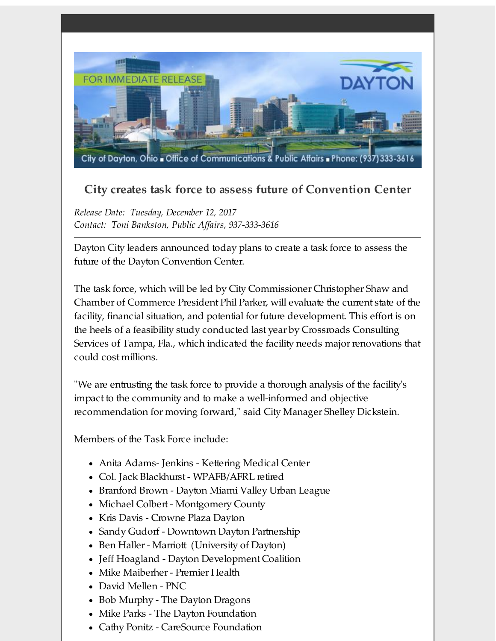

## **City creates task force to assess future of Convention Center**

*Release Date: Tuesday, December 12, 2017 Contact: Toni Bankston, Public Af airs, 937-333-3616*

Dayton City leaders announced today plans to create a task force to assess the future of the Dayton Convention Center.

The task force, which will be led by City Commissioner Christopher Shaw and Chamber of Commerce President Phil Parker, will evaluate the current state of the facility, financial situation, and potential for future development. This effort is on the heels of a feasibility study conducted last year by Crossroads Consulting Services of Tampa, Fla., which indicated the facility needs major renovations that could cost millions.

"We are entrusting the task force to provide a thorough analysis of the facility's impact to the community and to make a well-informed and objective recommendation for moving forward," said City Manager Shelley Dickstein.

Members of the Task Force include:

- Anita Adams- Jenkins Kettering Medical Center
- Col. Jack Blackhurst WPAFB/AFRL retired
- Branford Brown Dayton Miami Valley Urban League
- Michael Colbert Montgomery County
- Kris Davis Crowne Plaza Dayton
- Sandy Gudorf Downtown Dayton Partnership
- Ben Haller Marriott (University of Dayton)
- Jeff Hoagland Dayton Development Coalition
- Mike Maiberher- Premier Health
- David Mellen PNC
- Bob Murphy The Dayton Dragons
- Mike Parks The Dayton Foundation
- Cathy Ponitz CareSource Foundation